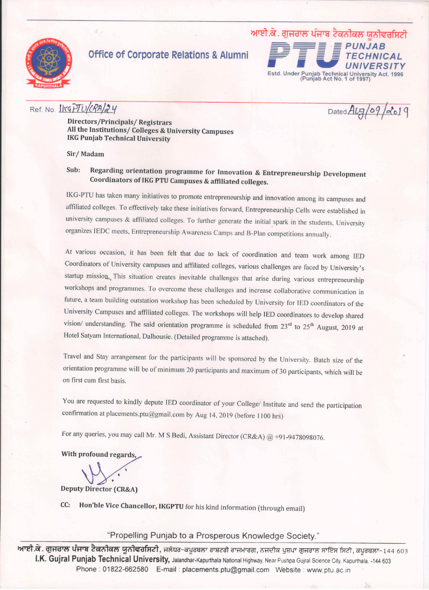

## **Office of Corporate Relations & Alumni**



### Ref. No. IKGPTU/CRA/24

Dated ALg/09/2019

Directors/Principals/Registrars All the Institutions/ Colleges & University Campuses **IKG Punjab Technical University** 

Sir/Madam

#### Regarding orientation programme for Innovation & Entrepreneurship Development Sub: Coordinators of IKG PTU Campuses & affiliated colleges.

IKG-PTU has taken many initiatives to promote entrepreneurship and innovation among its campuses and affiliated colleges. To effectively take these initiatives forward, Entrepreneurship Cells were established in university campuses & affiliated colleges. To further generate the initial spark in the students, University organizes IEDC meets, Entrepreneurship Awareness Camps and B-Plan competitions annually.

At various occasion, it has been felt that due to lack of coordination and team work among IED Coordinators of University campuses and affiliated colleges, various challenges are faced by University's startup mission. This situation creates inevitable challenges that arise during various entrepreneurship workshops and programmes. To overcome these challenges and increase collaborative communication in future, a team building outstation workshop has been scheduled by University for IED coordinators of the University Campuses and affiliated colleges. The workshops will help IED coordinators to develop shared vision/ understanding. The said orientation programme is scheduled from 23rd to 25<sup>th</sup> August, 2019 at Hotel Satyam International, Dalhousie. (Detailed programme is attached).

Travel and Stay arrangement for the participants will be sponsored by the University. Batch size of the orientation programme will be of minimum 20 participants and maximum of 30 participants, which will be on first cum first basis.

You are requested to kindly depute IED coordinator of your College/ Institute and send the participation confirmation at placements.ptu@gmail.com by Aug 14, 2019 (before 1100 hrs)

For any queries, you may call Mr. M S Bedi, Assistant Director (CR&A) @ +91-9478098076.

With profound regards.

**Deputy Director (CR&A)** 

CC: Hon'ble Vice Chancellor, IKGPTU for his kind information (through email)

"Propelling Punjab to a Prosperous Knowledge Society."

<mark>ਆਈ.ਕੇ. ਗੁਜਰਾਲ ਪੰਜਾਬ ਟੈਕਨੀਕਲ ਯੂਨੀਵਰਸਿਟੀ</mark>, ਜਲੰਧਰ-ਕਪੂਰਥਲਾ ਰਾਸ਼ਟਰੀ ਰਾਜਮਾਰਗ, ਨਜਦੀਕ ਪੁਸ਼ਪਾ ਗੁਜਰਾਲ ਸਾਇੰਸ ਸਿਟੀ, ਕਪੂਰਥਲਾ-144 603 I.K. Gujral Punjab Technical University, Jalandhar-Kapurthala National Highway, Near Pushpa Gujral Science City, Kapurthala. -144 603 Phone: 01822-662580 E-mail: placements.ptu@gmail.com Website: www.ptu.ac.in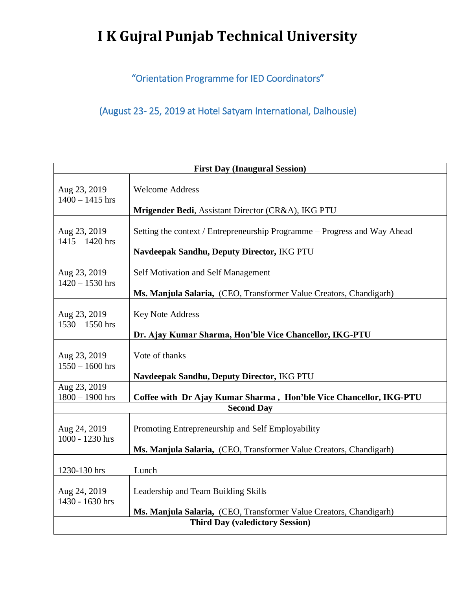## **I K Gujral Punjab Technical University**

"Orientation Programme for IED Coordinators"

(August 23- 25, 2019 at Hotel Satyam International, Dalhousie)

| <b>First Day (Inaugural Session)</b>   |                                                                           |  |
|----------------------------------------|---------------------------------------------------------------------------|--|
| Aug 23, 2019                           | <b>Welcome Address</b>                                                    |  |
| $1400 - 1415$ hrs                      | Mrigender Bedi, Assistant Director (CR&A), IKG PTU                        |  |
| Aug 23, 2019                           | Setting the context / Entrepreneurship Programme – Progress and Way Ahead |  |
| $1415 - 1420$ hrs                      | Navdeepak Sandhu, Deputy Director, IKG PTU                                |  |
| Aug 23, 2019                           | Self Motivation and Self Management                                       |  |
| $1420 - 1530$ hrs                      | Ms. Manjula Salaria, (CEO, Transformer Value Creators, Chandigarh)        |  |
| Aug 23, 2019                           | <b>Key Note Address</b>                                                   |  |
| $1530 - 1550$ hrs                      | Dr. Ajay Kumar Sharma, Hon'ble Vice Chancellor, IKG-PTU                   |  |
| Aug 23, 2019                           | Vote of thanks                                                            |  |
| $1550 - 1600$ hrs                      | Navdeepak Sandhu, Deputy Director, IKG PTU                                |  |
| Aug 23, 2019                           | Coffee with Dr Ajay Kumar Sharma, Hon'ble Vice Chancellor, IKG-PTU        |  |
| $1800 - 1900$ hrs                      | <b>Second Day</b>                                                         |  |
| Aug 24, 2019                           | Promoting Entrepreneurship and Self Employability                         |  |
| 1000 - 1230 hrs                        | Ms. Manjula Salaria, (CEO, Transformer Value Creators, Chandigarh)        |  |
| 1230-130 hrs                           | Lunch                                                                     |  |
| Aug 24, 2019                           | Leadership and Team Building Skills                                       |  |
| 1430 - 1630 hrs                        | Ms. Manjula Salaria, (CEO, Transformer Value Creators, Chandigarh)        |  |
| <b>Third Day (valedictory Session)</b> |                                                                           |  |